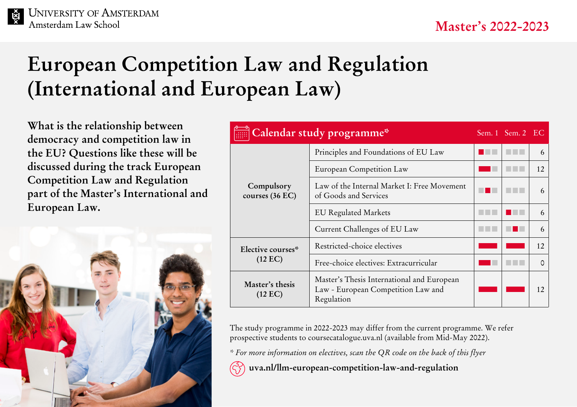### **UNIVERSITY OF AMSTERDAM** Amsterdam Law School

# **European Competition Law and Regulation (International and European Law)**

**What is the relationship between democracy and competition law in the EU? Questions like these will be discussed during the track European Competition Law and Regulation part of the Master's International and European Law.**



| Calendar study programme*              |                                                                                                | Sem. 1 Sem. 2 EC |    |
|----------------------------------------|------------------------------------------------------------------------------------------------|------------------|----|
| Compulsory<br>courses (36 EC)          | Principles and Foundations of EU Law                                                           |                  | 6  |
|                                        | European Competition Law                                                                       |                  | 12 |
|                                        | Law of the Internal Market I: Free Movement<br>of Goods and Services                           |                  | 6  |
|                                        | <b>EU Regulated Markets</b>                                                                    |                  | 6  |
|                                        | Current Challenges of EU Law                                                                   |                  | 6  |
| Elective courses*<br>$(12 \text{ EC})$ | Restricted-choice electives                                                                    |                  | 12 |
|                                        | Free-choice electives: Extracurricular                                                         |                  |    |
| Master's thesis<br>$(12 \text{ EC})$   | Master's Thesis International and European<br>Law - European Competition Law and<br>Regulation |                  | 12 |

The study programme in 2022-2023 may differ from the current programme. We refer prospective students to [coursecatalogue.uva.nl](http://coursecatalogue.uva.nl) (available from Mid-May 2022).

*\* For more information on electives, scan the QR code on the back of this flyer*

 **[uva.nl/llm-european-competition-law-and-regulation](http://uva.nl/llm-european-competition-law-and-regulation)**